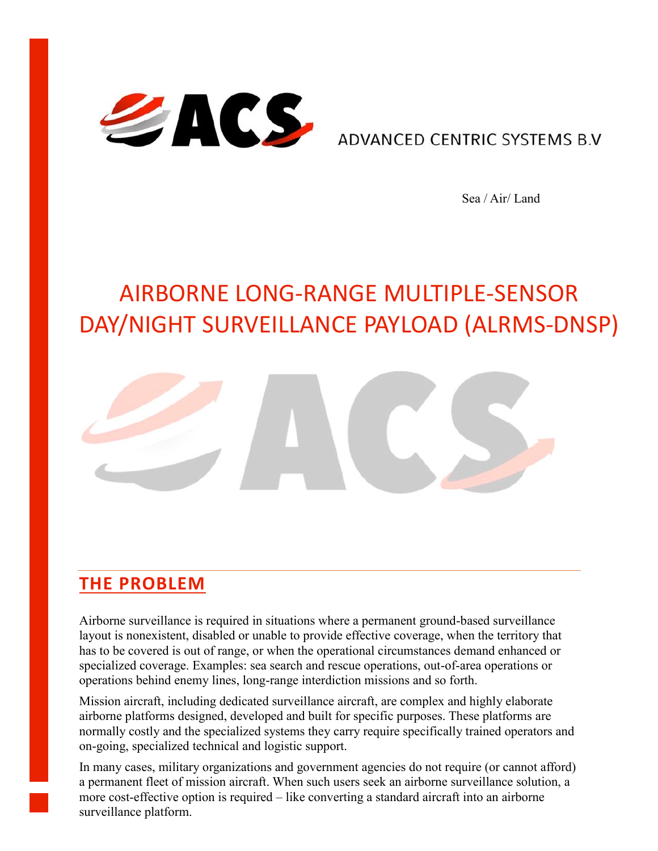

ADVANCED CENTRIC SYSTEMS B.V

Sea / Air/ Land

# AIRBORNE LONG-RANGE MULTIPLE-SENSOR DAY/NIGHT SURVEILLANCE PAYLOAD (ALRMS-DNSP)



#### **THE PROBLEM**

Airborne surveillance is required in situations where a permanent ground-based surveillance layout is nonexistent, disabled or unable to provide effective coverage, when the territory that has to be covered is out of range, or when the operational circumstances demand enhanced or specialized coverage. Examples: sea search and rescue operations, out-of-area operations or operations behind enemy lines, long-range interdiction missions and so forth.

Mission aircraft, including dedicated surveillance aircraft, are complex and highly elaborate airborne platforms designed, developed and built for specific purposes. These platforms are normally costly and the specialized systems they carry require specifically trained operators and on-going, specialized technical and logistic support.

In many cases, military organizations and government agencies do not require (or cannot afford) a permanent fleet of mission aircraft. When such users seek an airborne surveillance solution, a more cost-effective option is required – like converting a standard aircraft into an airborne surveillance platform.